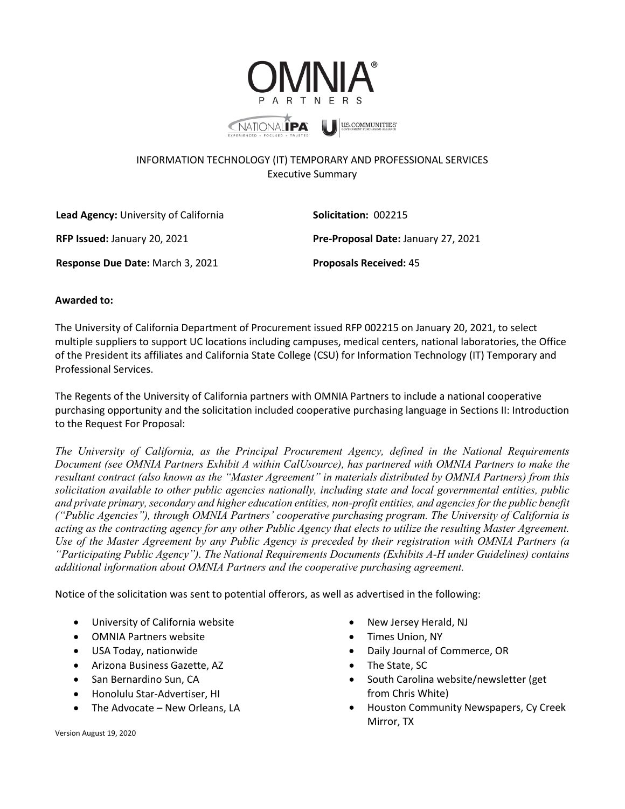

## INFORMATION TECHNOLOGY (IT) TEMPORARY AND PROFESSIONAL SERVICES Executive Summary

| Lead Agency: University of California | <b>Solicitation: 002215</b>                |
|---------------------------------------|--------------------------------------------|
| <b>RFP Issued: January 20, 2021</b>   | <b>Pre-Proposal Date: January 27, 2021</b> |
| Response Due Date: March 3, 2021      | <b>Proposals Received: 45</b>              |

## **Awarded to:**

The University of California Department of Procurement issued RFP 002215 on January 20, 2021, to select multiple suppliers to support UC locations including campuses, medical centers, national laboratories, the Office of the President its affiliates and California State College (CSU) for Information Technology (IT) Temporary and Professional Services.

The Regents of the University of California partners with OMNIA Partners to include a national cooperative purchasing opportunity and the solicitation included cooperative purchasing language in Sections II: Introduction to the Request For Proposal:

*The University of California, as the Principal Procurement Agency, defined in the National Requirements Document (see OMNIA Partners Exhibit A within CalUsource), has partnered with OMNIA Partners to make the resultant contract (also known as the "Master Agreement" in materials distributed by OMNIA Partners) from this solicitation available to other public agencies nationally, including state and local governmental entities, public and private primary, secondary and higher education entities, non-profit entities, and agencies for the public benefit ("Public Agencies"), through OMNIA Partners' cooperative purchasing program. The University of California is acting as the contracting agency for any other Public Agency that elects to utilize the resulting Master Agreement. Use of the Master Agreement by any Public Agency is preceded by their registration with OMNIA Partners (a "Participating Public Agency"). The National Requirements Documents (Exhibits A-H under Guidelines) contains additional information about OMNIA Partners and the cooperative purchasing agreement.*

Notice of the solicitation was sent to potential offerors, as well as advertised in the following:

- University of California website
- OMNIA Partners website
- USA Today, nationwide
- Arizona Business Gazette, AZ
- San Bernardino Sun, CA
- Honolulu Star-Advertiser, HI
- The Advocate New Orleans, LA
- New Jersey Herald, NJ
- Times Union, NY
- Daily Journal of Commerce, OR
- The State, SC
- South Carolina website/newsletter (get from Chris White)
- Houston Community Newspapers, Cy Creek Mirror, TX